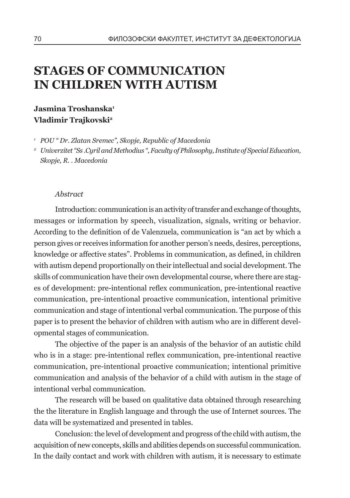# **Stages of communication in children with autism**

#### **Jasmina Troshanska1 Vladimir Trajkovski2**

*<sup>1</sup> POU " Dr. Zlatan Sremec", Skopje, Republic of Macedonia*

*<sup>2</sup> Univerzitet "Ss .Cyril and Methodius ", Faculty of Philosophy, Institute of Special Education, Skopje, R. . Macedonia*

#### *Abstract*

Introduction: communication is an activity of transfer and exchange of thoughts, messages or information by speech, visualization, signals, writing or behavior. According to the definition of de Valenzuela, communication is "an act by which a person gives or receives information for another person's needs, desires, perceptions, knowledge or affective states". Problems in communication, as defined, in children with autism depend proportionally on their intellectual and social development. The skills of communication have their own developmental course, where there are stages of development: pre-intentional reflex communication, pre-intentional reactive communication, pre-intentional proactive communication, intentional primitive communication and stage of intentional verbal communication. The purpose of this paper is to present the behavior of children with autism who are in different developmental stages of communication.

The objective of the paper is an analysis of the behavior of an autistic child who is in a stage: pre-intentional reflex communication, pre-intentional reactive communication, pre-intentional proactive communication; intentional primitive communication and analysis of the behavior of a child with autism in the stage of intentional verbal communication.

The research will be based on qualitative data obtained through researching the the literature in English language and through the use of Internet sources. The data will be systematized and presented in tables.

Conclusion: the level of development and progress of the child with autism, the acquisition of new concepts, skills and abilities depends on successful communication. In the daily contact and work with children with autism, it is necessary to estimate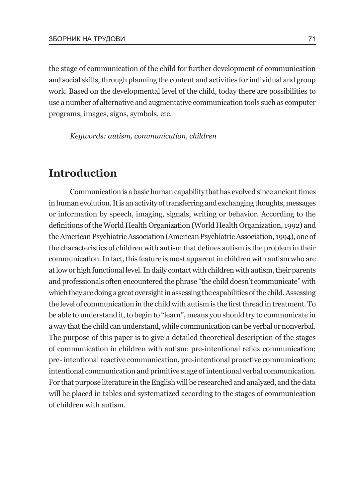the stage of communication of the child for further development of communication and social skills, through planning the content and activities for individual and group work. Based on the developmental level of the child, today there are possibilities to use a number of alternative and augmentative communication tools such as computer programs, images, signs, symbols, etc.

*Keywords: autism, communication, children*

# **Introduction**

Communication is a basic human capability that has evolved since ancient times in human evolution. It is an activity of transferring and exchanging thoughts, messages or information by speech, imaging, signals, writing or behavior. According to the definitions of the World Health Organization (World Health Organization, 1992) and the American Psychiatric Association (American Psychiatric Association, 1994), one of the characteristics of children with autism that defines autism is the problem in their communication. In fact, this feature is most apparent in children with autism who are at low or high functional level. In daily contact with children with autism, their parents and professionals often encountered the phrase "the child doesn't communicate" with which they are doing a great oversight in assessing the capabilities of the child. Assessing the level of communication in the child with autism is the first thread in treatment. To be able to understand it, to begin to "learn", means you should try to communicate in a way that the child can understand, while communication can be verbal or nonverbal. The purpose of this paper is to give a detailed theoretical description of the stages of communication in children with autism: pre-intentional reflex communication; pre- intentional reactive communication, pre-intentional proactive communication; intentional communication and primitive stage of intentional verbal communication. For that purpose literature in the English will be researched and analyzed, and the data will be placed in tables and systematized according to the stages of communication of children with autism.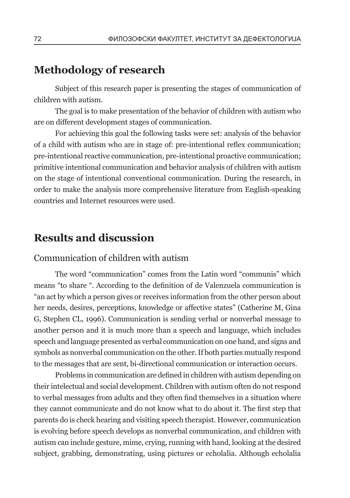# **Methodology of research**

Subject of this research paper is presenting the stages of communication of children with autism.

The goal is to make presentation of the behavior of children with autism who are on different development stages of communication.

For achieving this goal the following tasks were set: analysis of the behavior of a child with autism who are in stage of: pre-intentional reflex communication; pre-intentional reactive communication, pre-intentional proactive communication; primitive intentional communication and behavior analysis of children with autism on the stage of intentional conventional communication. During the research, in order to make the analysis more comprehensive literature from English-speaking countries and Internet resources were used.

# **Results and discussion**

#### Communication of children with autism

The word "communication" comes from the Latin word "communis" which means "to share ". According to the definition of de Valenzuela communication is "an act by which a person gives or receives information from the other person about her needs, desires, perceptions, knowledge or affective states" (Catherine M, Gina G, Stephen CL, 1996). Communication is sending verbal or nonverbal message to another person and it is much more than a speech and language, which includes speech and language presented as verbal communication on one hand, and signs and symbols as nonverbal communication on the other. If both parties mutually respond to the messages that are sent, bi-directional communication or interaction occurs.

Problems in communication are defined in children with autism depending on their intelectual and social development. Children with autism often do not respond to verbal messages from adults and they often find themselves in a situation where they cannot communicate and do not know what to do about it. The first step that parents do is check hearing and visiting speech therapist. However, communication is evolving before speech develops as nonverbal communication, and children with autism can include gesture, mime, crying, running with hand, looking at the desired subject, grabbing, demonstrating, using pictures or echolalia. Although echolalia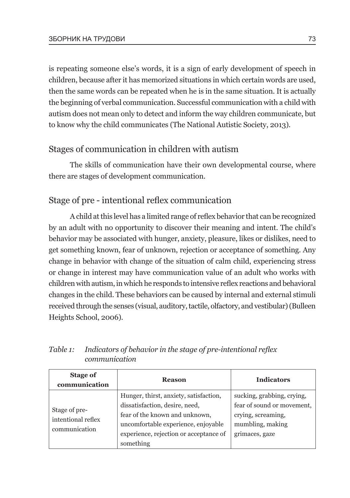is repeating someone else's words, it is a sign of early development of speech in children, because after it has memorized situations in which certain words are used, then the same words can be repeated when he is in the same situation. It is actually the beginning of verbal communication. Successful communication with a child with autism does not mean only to detect and inform the way children communicate, but to know why the child communicates (The National Autistic Society, 2013).

### Stages of communication in children with autism

The skills of communication have their own developmental course, where there are stages of development communication.

### Stage of pre - intentional reflex communication

A child at this level has a limited range of reflex behavior that can be recognized by an adult with no opportunity to discover their meaning and intent. The child's behavior may be associated with hunger, anxiety, pleasure, likes or dislikes, need to get something known, fear of unknown, rejection or acceptance of something. Any change in behavior with change of the situation of calm child, experiencing stress or change in interest may have communication value of an adult who works with children with autism, in which he responds to intensive reflex reactions and behavioral changes in the child. These behaviors can be caused by internal and external stimuli received through the senses (visual, auditory, tactile, olfactory, and vestibular) (Bulleen Heights School, 2006).

| <b>Stage of</b><br>communication                     | <b>Reason</b>                                                                                                                                                                                            | <b>Indicators</b>                                                                                                    |
|------------------------------------------------------|----------------------------------------------------------------------------------------------------------------------------------------------------------------------------------------------------------|----------------------------------------------------------------------------------------------------------------------|
| Stage of pre-<br>intentional reflex<br>communication | Hunger, thirst, anxiety, satisfaction,<br>dissatisfaction, desire, need,<br>fear of the known and unknown,<br>uncomfortable experience, enjoyable<br>experience, rejection or acceptance of<br>something | sucking, grabbing, crying,<br>fear of sound or movement.<br>crying, screaming,<br>mumbling, making<br>grimaces, gaze |

*Table 1: Indicators of behavior in the stage of pre-intentional reflex communication*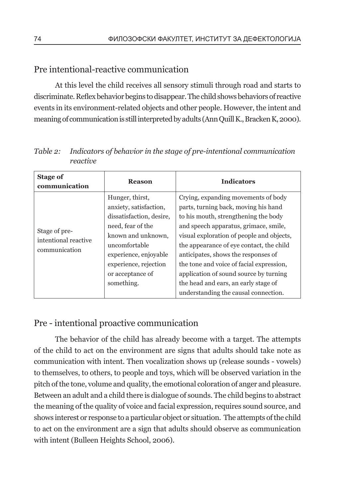### Pre intentional-reactive communication

At this level the child receives all sensory stimuli through road and starts to discriminate. Reflex behavior begins to disappear. The child shows behaviors of reactive events in its environment-related objects and other people. However, the intent and meaning of communication is still interpreted by adults (Ann Quill K., Bracken K, 2000).

| <b>Stage of</b><br>communication                       | <b>Reason</b>                                                                                                                                                                                                         | <b>Indicators</b>                                                                                                                                                                                                                                                                                                                                                                                                                                                  |
|--------------------------------------------------------|-----------------------------------------------------------------------------------------------------------------------------------------------------------------------------------------------------------------------|--------------------------------------------------------------------------------------------------------------------------------------------------------------------------------------------------------------------------------------------------------------------------------------------------------------------------------------------------------------------------------------------------------------------------------------------------------------------|
| Stage of pre-<br>intentional reactive<br>communication | Hunger, thirst,<br>anxiety, satisfaction,<br>dissatisfaction, desire,<br>need, fear of the<br>known and unknown,<br>uncomfortable<br>experience, enjoyable<br>experience, rejection<br>or acceptance of<br>something. | Crying, expanding movements of body<br>parts, turning back, moving his hand<br>to his mouth, strengthening the body<br>and speech apparatus, grimace, smile,<br>visual exploration of people and objects,<br>the appearance of eye contact, the child<br>anticipates, shows the responses of<br>the tone and voice of facial expression,<br>application of sound source by turning<br>the head and ears, an early stage of<br>understanding the causal connection. |

*Table 2: Indicators of behavior in the stage of pre-intentional communication reactive*

### Pre - intentional proactive communication

The behavior of the child has already become with a target. The attempts of the child to act on the environment are signs that adults should take note as communication with intent. Then vocalization shows up (release sounds - vowels) to themselves, to others, to people and toys, which will be observed variation in the pitch of the tone, volume and quality, the emotional coloration of anger and pleasure. Between an adult and a child there is dialogue of sounds. The child begins to abstract the meaning of the quality of voice and facial expression, requires sound source, and shows interest or response to a particular object or situation. The attempts of the child to act on the environment are a sign that adults should observe as communication with intent (Bulleen Heights School, 2006).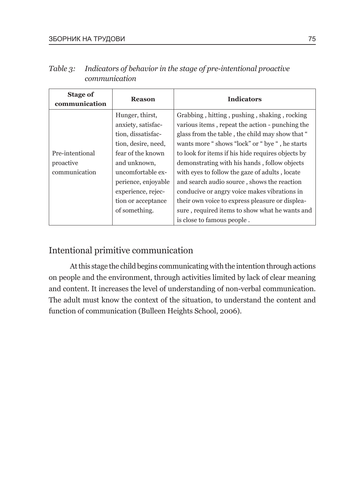| <b>Stage of</b><br>communication              | <b>Reason</b>                                                                                                                                                                                                                    | <b>Indicators</b>                                                                                                                                                                                                                                                                                                                                                                                                                                                                                                                                                                             |
|-----------------------------------------------|----------------------------------------------------------------------------------------------------------------------------------------------------------------------------------------------------------------------------------|-----------------------------------------------------------------------------------------------------------------------------------------------------------------------------------------------------------------------------------------------------------------------------------------------------------------------------------------------------------------------------------------------------------------------------------------------------------------------------------------------------------------------------------------------------------------------------------------------|
| Pre-intentional<br>proactive<br>communication | Hunger, thirst,<br>anxiety, satisfac-<br>tion, dissatisfac-<br>tion, desire, need,<br>fear of the known<br>and unknown,<br>uncomfortable ex-<br>perience, enjoyable<br>experience, rejec-<br>tion or acceptance<br>of something. | Grabbing, hitting, pushing, shaking, rocking<br>various items, repeat the action - punching the<br>glass from the table, the child may show that "<br>wants more "shows "lock" or " bye ", he starts<br>to look for items if his hide requires objects by<br>demonstrating with his hands, follow objects<br>with eyes to follow the gaze of adults, locate<br>and search audio source, shows the reaction<br>conducive or angry voice makes vibrations in<br>their own voice to express pleasure or displea-<br>sure, required items to show what he wants and<br>is close to famous people. |

*Table 3: Indicators of behavior in the stage of pre-intentional proactive communication*

### Intentional primitive communication

At this stage the child begins communicating with the intention through actions on people and the environment, through activities limited by lack of clear meaning and content. It increases the level of understanding of non-verbal communication. The adult must know the context of the situation, to understand the content and function of communication (Bulleen Heights School, 2006).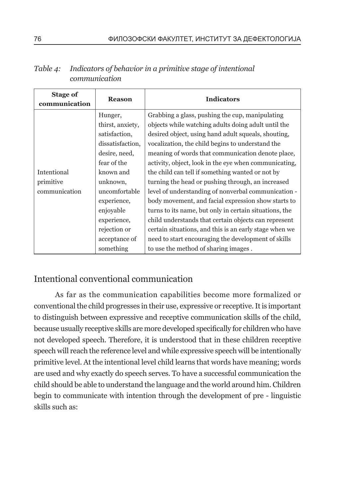| <b>Stage of</b><br>communication | <b>Reason</b>    | <b>Indicators</b>                                      |
|----------------------------------|------------------|--------------------------------------------------------|
|                                  | Hunger,          | Grabbing a glass, pushing the cup, manipulating        |
|                                  | thirst, anxiety, | objects while watching adults doing adult until the    |
|                                  | satisfaction,    | desired object, using hand adult squeals, shouting,    |
|                                  | dissatisfaction, | vocalization, the child begins to understand the       |
|                                  | desire, need,    | meaning of words that communication denote place,      |
|                                  | fear of the      | activity, object, look in the eye when communicating,  |
| Intentional                      | known and        | the child can tell if something wanted or not by       |
| primitive                        | unknown,         | turning the head or pushing through, an increased      |
| communication                    | uncomfortable    | level of understanding of nonverbal communication -    |
|                                  | experience,      | body movement, and facial expression show starts to    |
|                                  | enjoyable        | turns to its name, but only in certain situations, the |
|                                  | experience,      | child understands that certain objects can represent   |
|                                  | rejection or     | certain situations, and this is an early stage when we |
|                                  | acceptance of    | need to start encouraging the development of skills    |
|                                  | something        | to use the method of sharing images.                   |

*Table 4: Indicators of behavior in a primitive stage of intentional communication*

### Intentional conventional communication

As far as the communication capabilities become more formalized or conventional the child progresses in their use, expressive or receptive. It is important to distinguish between expressive and receptive communication skills of the child, because usually receptive skills are more developed specifically for children who have not developed speech. Therefore, it is understood that in these children receptive speech will reach the reference level and while expressive speech will be intentionally primitive level. At the intentional level child learns that words have meaning; words are used and why exactly do speech serves. To have a successful communication the child should be able to understand the language and the world around him. Children begin to communicate with intention through the development of pre - linguistic skills such as: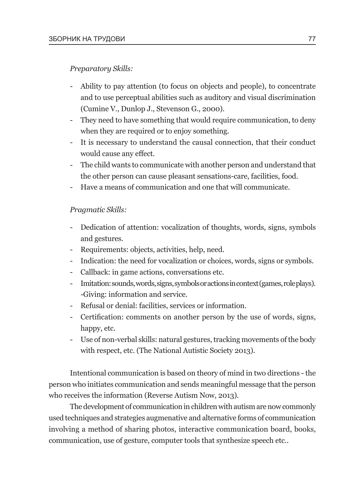#### *Preparatory Skills:*

- Ability to pay attention (to focus on objects and people), to concentrate and to use perceptual abilities such as auditory and visual discrimination (Cumine V., Dunlop J., Stevenson G., 2000).
- They need to have something that would require communication, to deny when they are required or to enjoy something.
- It is necessary to understand the causal connection, that their conduct would cause any effect.
- The child wants to communicate with another person and understand that the other person can cause pleasant sensations-care, facilities, food.
- Have a means of communication and one that will communicate.

#### *Pragmatic Skills:*

- Dedication of attention: vocalization of thoughts, words, signs, symbols and gestures.
- Requirements: objects, activities, help, need.
- Indication: the need for vocalization or choices, words, signs or symbols.
- Callback: in game actions, conversations etc.
- Imitation: sounds, words, signs, symbols or actions in context (games, role plays). -Giving: information and service.
- Refusal or denial: facilities, services or information.
- Certification: comments on another person by the use of words, signs, happy, etc.
- Use of non-verbal skills: natural gestures, tracking movements of the body with respect, etc. (The National Autistic Society 2013).

Intentional communication is based on theory of mind in two directions - the person who initiates communication and sends meaningful message that the person who receives the information (Reverse Autism Now, 2013).

The development of communication in children with autism are now commonly used techniques and strategies augmenative and alternative forms of communication involving a method of sharing photos, interactive communication board, books, communication, use of gesture, computer tools that synthesize speech etc..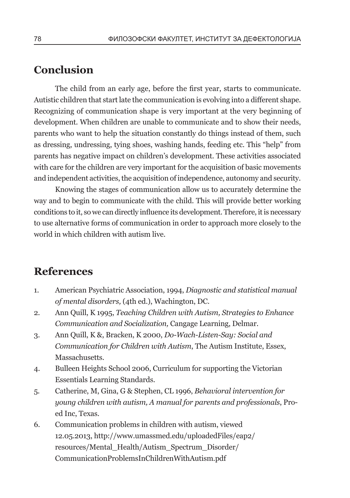# **Conclusion**

The child from an early age, before the first year, starts to communicate. Autistic children that start late the communication is evolving into a different shape. Recognizing of communication shape is very important at the very beginning of development. When children are unable to communicate and to show their needs, parents who want to help the situation constantly do things instead of them, such as dressing, undressing, tying shoes, washing hands, feeding etc. This "help" from parents has negative impact on children's development. These activities associated with care for the children are very important for the acquisition of basic movements and independent activities, the acquisition of independence, autonomy and security.

Knowing the stages of communication allow us to accurately determine the way and to begin to communicate with the child. This will provide better working conditions to it, so we can directly influence its development. Therefore, it is necessary to use alternative forms of communication in order to approach more closely to the world in which children with autism live.

## **References**

- 1. American Psychiatric Association, 1994, *Diagnostic and statistical manual of mental disorders,* (4th ed.), Wachington, DC.
- 2. Ann Quill, K 1995, *Teaching Children with Autism, Strategies to Enhance Communication and Socialization,* Cangage Learning, Delmar.
- 3. Ann Quill, K &, Bracken, K 2000, *Do-Wach-Listen-Say: Social and Communication for Children with Autism*, The Autism Institute, Essex, Massachusetts.
- 4. Bulleen Heights School 2006, Curriculum for supporting the Victorian Essentials Learning Standards.
- 5. Catherine, M, Gina, G & Stephen, CL 1996, *Behavioral intervention for young children with autism, A manual for parents and professionals*, Proed Inc, Texas.
- 6. Communication problems in children with autism, viewed 12.05.2013, http://www.umassmed.edu/uploadedFiles/eap2/ resources/Mental\_Health/Autism\_Spectrum\_Disorder/ CommunicationProblemsInChildrenWithAutism.pdf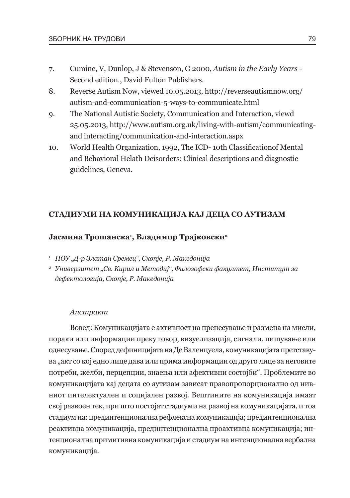- 7. Cumine, V, Dunlop, J & Stevenson, G 2000, *Autism in the Early Years* Second edition., David Fulton Publishers.
- 8. Reverse Autism Now, viewed 10.05.2013, http://reverseautismnow.org/ autism-and-communication-5-ways-to-communicate.html
- 9. The National Autistic Society, Communication and Interaction, viewd 25.05.2013, http://www.autism.org.uk/living-with-autism/communicatingand interacting/communication-and-interaction.aspx
- 10. World Health Organization, 1992, The ICD- 10th Classificationof Mental and Behavioral Helath Deisorders: Clinical descriptions and diagnostic guidelines, Geneva.

#### **Стадиуми на комуникација кај деца со аутизам**

#### **Јасмина Трошанска1 , Владимир Трајковски2**

- <sup>1</sup> *ПОУ "Д-р Златан Сремец", Скопје, Р. Македонија*
- *<sup>2</sup> Универзитет "Св. Кирил и Методиј", Филозофски факултет, Институт за дефектологија, Скопје, Р. Македонија*

#### *Апстракт*

Вовед: Комуникацијата е активност на пренесување и размена на мисли, пораки или информации преку говор, визуелизација, сигнали, пишување или однесување. Според дефиницијата на Де Валенцуела, комуникацијата претставува "акт со кој едно лице дава или прима информации од друго лице за неговите потреби, желби, перцепции, знаења или афективни состојби". Проблемите во комуникацијата кај децата со аутизам зависат правопропорционално од нивниот интелектуален и социјален развој. Вештините на комуникација имаат свој развоен тек, при што постојат стадиуми на развој на комуникацијата, и тоа стадиум на: прединтенционална рефлексна комуникација; прединтенционална реактивна комуникација, прединтенционална проактивна комуникација; интенционална примитивна комуникација и стадиум на интенционална вербална комуникација.